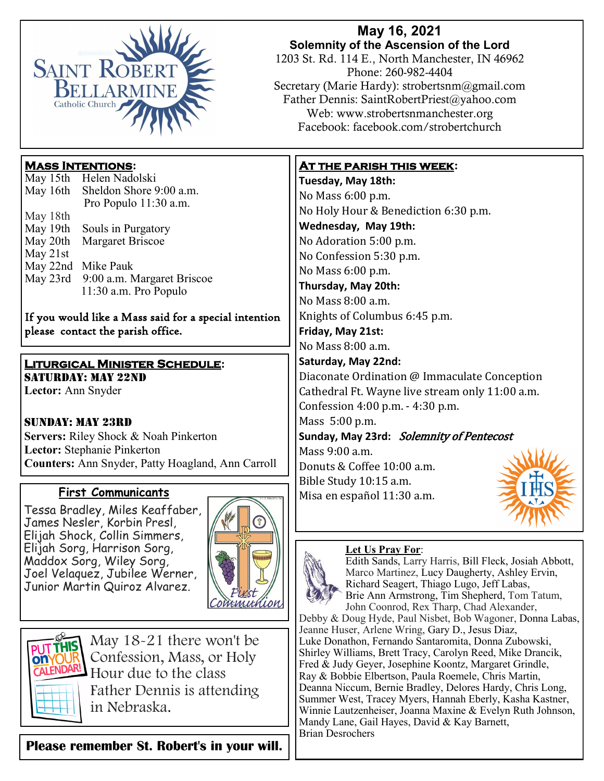

## **May 16, 2021 Solemnity of the Ascension of the Lord**

1203 St. Rd. 114 E., North Manchester, IN 46962 Phone: 260-982-4404 Secretary (Marie Hardy): strobertsnm@gmail.com Father Dennis: SaintRobertPriest@yahoo.com Web: www.strobertsnmanchester.org Facebook: facebook.com/strobertchurch

## **Mass Intentions:**

| May 15th | Helen Nadolski             |
|----------|----------------------------|
| May 16th | Sheldon Shore 9:00 a.m.    |
|          | Pro Populo 11:30 a.m.      |
| May 18th |                            |
| May 19th | Souls in Purgatory         |
| May 20th | Margaret Briscoe           |
| May 21st |                            |
| May 22nd | Mike Pauk                  |
| May 23rd | 9:00 a.m. Margaret Briscoe |
|          | 11:30 a.m. Pro Populo      |
|          |                            |

If you would like a Mass said for a special intention please contact the parish office.

#### **Liturgical Minister Schedule:** SATURDAY: MAY 22ND

**Lector:** Ann Snyder

Sunday: May 23rd **Servers:** Riley Shock & Noah Pinkerton **Lector:** Stephanie Pinkerton **Counters:** Ann Snyder, Patty Hoagland, Ann Carroll

# **First Communicants**

Tessa Bradley, Miles Keaffaber, James Nesler, Korbin Presl, Elijah Shock, Collin Simmers, Elijah Sorg, Harrison Sorg, Maddox Sorg, Wiley Sorg, Joel Velaquez, Jubilee Werner, Junior Martin Quiroz Alvarez.





May 18-21 there won't be Confession, Mass, or Holy Hour due to the class Father Dennis is attending in Nebraska.

**Please remember St. Robert's in your will.** 

## **At the parish this week:**

**Tuesday, May 18th:**  No Mass 6:00 p.m. No Holy Hour & Benediction 6:30 p.m. **Wednesday, May 19th:** No Adoration 5:00 p.m. No Confession 5:30 p.m. No Mass 6:00 p.m. **Thursday, May 20th:** No Mass 8:00 a.m. Knights of Columbus 6:45 p.m. **Friday, May 21st:**  No Mass 8:00 a.m. **Saturday, May 22nd:**  Diaconate Ordination @ Immaculate Conception Cathedral Ft. Wayne live stream only 11:00 a.m. Confession 4:00 p.m. - 4:30 p.m. Mass 5:00 p.m. **Sunday, May 23rd:** Solemnity of Pentecost Mass 9:00 a.m. Donuts & Coffee 10:00 a.m. Bible Study 10:15 a.m. Misa en español 11:30 a.m.

### **Let Us Pray For**:



Edith Sands, Larry Harris, Bill Fleck, Josiah Abbott, Marco Martinez, Lucy Daugherty, Ashley Ervin, Richard Seagert, Thiago Lugo, Jeff Labas, Brie Ann Armstrong, Tim Shepherd, Tom Tatum, John Coonrod, Rex Tharp, Chad Alexander,

Debby & Doug Hyde, Paul Nisbet, Bob Wagoner, Donna Labas, Jeanne Huser, Arlene Wring, Gary D., Jesus Diaz, Luke Donathon, Fernando Santaromita, Donna Zubowski, Shirley Williams, Brett Tracy, Carolyn Reed, Mike Drancik, Fred & Judy Geyer, Josephine Koontz, Margaret Grindle, Ray & Bobbie Elbertson, Paula Roemele, Chris Martin, Deanna Niccum, Bernie Bradley, Delores Hardy, Chris Long, Summer West, Tracey Myers, Hannah Eberly, Kasha Kastner, Winnie Lautzenheiser, Joanna Maxine & Evelyn Ruth Johnson, Mandy Lane, Gail Hayes, David & Kay Barnett, Brian Desrochers